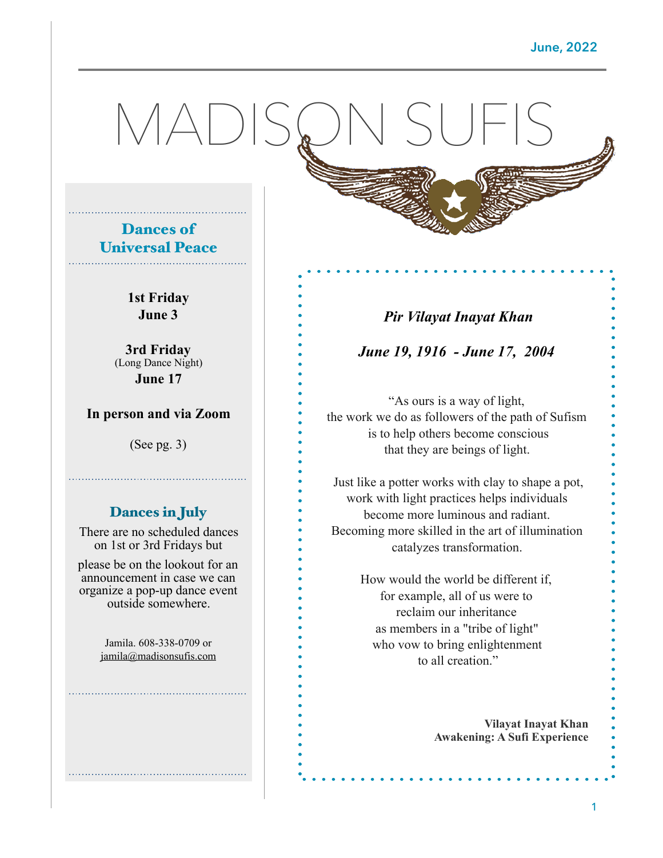# MADISON SUFIS



**1st Friday June 3** 

**3rd Friday**  (Long Dance Night) **June 17** 

#### **In person and via Zoom**

(See pg. 3)

#### Dances in July

There are no scheduled dances on 1st or 3rd Fridays but

please be on the lookout for an announcement in case we can organize a pop-up dance event outside somewhere.

> Jamila. 608-338-0709 or [jamila@madisonsufis.com](mailto:jamila@madisonsufis.com)

#### *Pir Vilayat Inayat Khan*

*June 19, 1916 - June 17, 2004* 

"As ours is a way of light, the work we do as followers of the path of Sufism is to help others become conscious that they are beings of light.

 Just like a potter works with clay to shape a pot, work with light practices helps individuals become more luminous and radiant. Becoming more skilled in the art of illumination catalyzes transformation.

> How would the world be different if, for example, all of us were to reclaim our inheritance as members in a "tribe of light" who vow to bring enlightenment to all creation."

> > **Vilayat Inayat Khan [Awakening: A Sufi Experience](https://www.goodreads.com/work/quotes/536613)**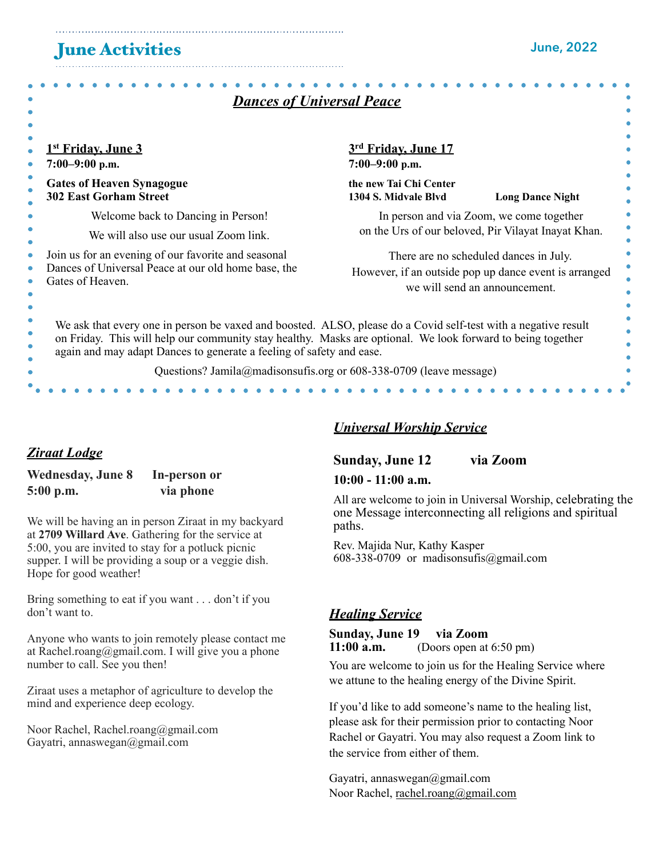### June Activities

| <b>Dances of Universal Peace</b>                                                                                                                                                                                                                                                                      |                                                                                                                                  |                         |  |  |  |  |
|-------------------------------------------------------------------------------------------------------------------------------------------------------------------------------------------------------------------------------------------------------------------------------------------------------|----------------------------------------------------------------------------------------------------------------------------------|-------------------------|--|--|--|--|
| <u>1st Friday, June 3</u><br>$7:00-9:00$ p.m.                                                                                                                                                                                                                                                         | 3rd Friday, June 17<br>$7:00-9:00$ p.m.                                                                                          |                         |  |  |  |  |
| <b>Gates of Heaven Synagogue</b><br><b>302 East Gorham Street</b>                                                                                                                                                                                                                                     | the new Tai Chi Center<br>1304 S. Midvale Blvd                                                                                   | <b>Long Dance Night</b> |  |  |  |  |
| Welcome back to Dancing in Person!<br>We will also use our usual Zoom link.                                                                                                                                                                                                                           | In person and via Zoom, we come together<br>on the Urs of our beloved, Pir Vilayat Inayat Khan.                                  |                         |  |  |  |  |
| Join us for an evening of our favorite and seasonal<br>Dances of Universal Peace at our old home base, the<br>Gates of Heaven.                                                                                                                                                                        | There are no scheduled dances in July.<br>However, if an outside pop up dance event is arranged<br>we will send an announcement. |                         |  |  |  |  |
| We ask that every one in person be vaxed and boosted. ALSO, please do a Covid self-test with a negative result<br>on Friday. This will help our community stay healthy. Masks are optional. We look forward to being together<br>again and may adapt Dances to generate a feeling of safety and ease. |                                                                                                                                  |                         |  |  |  |  |
| Questions? Jamila@madisonsufis.org or 608-338-0709 (leave message)                                                                                                                                                                                                                                    |                                                                                                                                  |                         |  |  |  |  |
|                                                                                                                                                                                                                                                                                                       |                                                                                                                                  |                         |  |  |  |  |

#### *Ziraat Lodge*

#### **Wednesday, June 8 In-person or 5:00 p.m. via phone**

We will be having an in person Ziraat in my backyard at **2709 Willard Ave**. Gathering for the service at 5:00, you are invited to stay for a potluck picnic supper. I will be providing a soup or a veggie dish. Hope for good weather!

Bring something to eat if you want . . . don't if you don't want to.

Anyone who wants to join remotely please contact me at Rachel.roang@gmail.com. I will give you a phone number to call. See you then!

Ziraat uses a metaphor of agriculture to develop the mind and experience deep ecology.

Noor Rachel, Rachel.roang@gmail.com Gayatri, annaswegan@gmail.com

#### *Universal Worship Service*

#### **Sunday, June 12 via Zoom**

#### **10:00 - 11:00 a.m.**

All are welcome to join in Universal Worship, celebrating the one Message interconnecting all religions and spiritual paths.

Rev. Majida Nur, Kathy Kasper 608-338-0709 or madisonsufis@gmail.com

#### *Healing Service*

**Sunday, June 19 via Zoom 11:00 a.m.** (Doors open at 6:50 pm)

You are welcome to join us for the Healing Service where we attune to the healing energy of the Divine Spirit.

If you'd like to add someone's name to the healing list, please ask for their permission prior to contacting Noor Rachel or Gayatri. You may also request a Zoom link to the service from either of them.

Gayatri, annaswegan@gmail.com Noor Rachel, [rachel.roang@gmail.com](mailto:rachel.roang@gmail.com)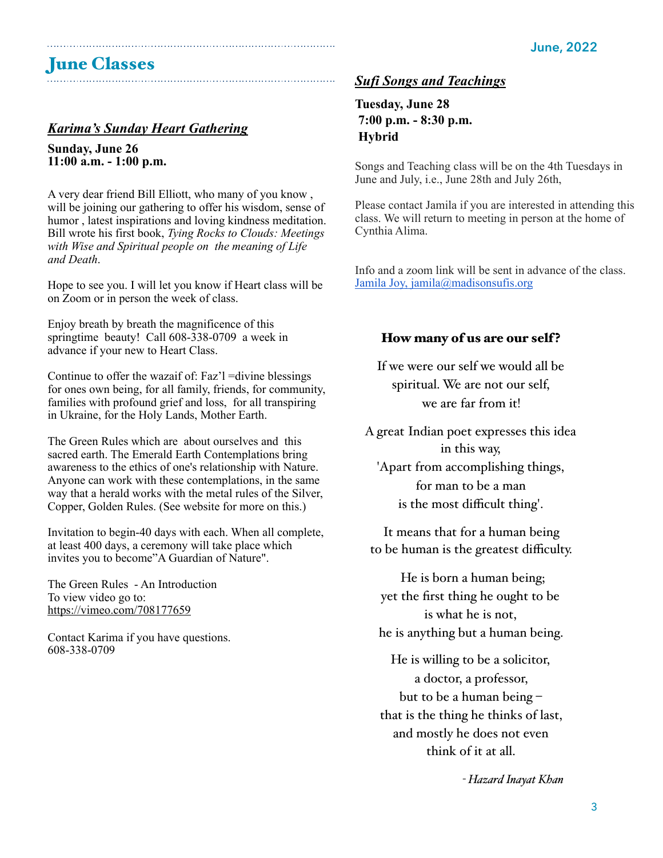# June Classes

#### *Karima's Sunday Heart Gathering*

**Sunday, June 26 11:00 a.m. - 1:00 p.m.** 

A very dear friend Bill Elliott, who many of you know , will be joining our gathering to offer his wisdom, sense of humor , latest inspirations and loving kindness meditation. Bill wrote his first book, *Tying Rocks to Clouds: Meetings with Wise and Spiritual people on the meaning of Life and Death*.

Hope to see you. I will let you know if Heart class will be on Zoom or in person the week of class.

Enjoy breath by breath the magnificence of this springtime beauty! Call 608-338-0709 a week in advance if your new to Heart Class.

Continue to offer the wazaif of: Faz'l =divine blessings for ones own being, for all family, friends, for community, families with profound grief and loss, for all transpiring in Ukraine, for the Holy Lands, Mother Earth.

The Green Rules which are about ourselves and this sacred earth. The Emerald Earth Contemplations bring awareness to the ethics of one's relationship with Nature. Anyone can work with these contemplations, in the same way that a herald works with the metal rules of the Silver, Copper, Golden Rules. (See website for more on this.)

Invitation to begin-40 days with each. When all complete, at least 400 days, a ceremony will take place which invites you to become"A Guardian of Nature".

The Green Rules - An Introduction To view video go to: <https://vimeo.com/708177659>

Contact Karima if you have questions. 608-338-0709

#### *Sufi Songs and Teachings*

**Tuesday, June 28 7:00 p.m. - 8:30 p.m. Hybrid** 

Songs and Teaching class will be on the 4th Tuesdays in June and July, i.e., June 28th and July 26th,

Please contact Jamila if you are interested in attending this class. We will return to meeting in person at the home of Cynthia Alima.

Info and a zoom link will be sent in advance of the class. Jamila Joy, [jamila@madisonsufis.org](mailto:jamila@madisonsufis.org)

#### How many of us are our self?

If we were our self we would all be spiritual. We are not our self, we are far from it!

A great Indian poet expresses this idea in this way, 'Apart from accomplishing things, for man to be a man

is the most difficult thing'.

It means that for a human being to be human is the greatest difficulty.

 He is born a human being; yet the first thing he ought to be is what he is not, he is anything but a human being.

He is willing to be a solicitor, a doctor, a professor, but to be a human being – that is the thing he thinks of last, and mostly he does not even think of it at all.

*- Hazard Inayat Khan*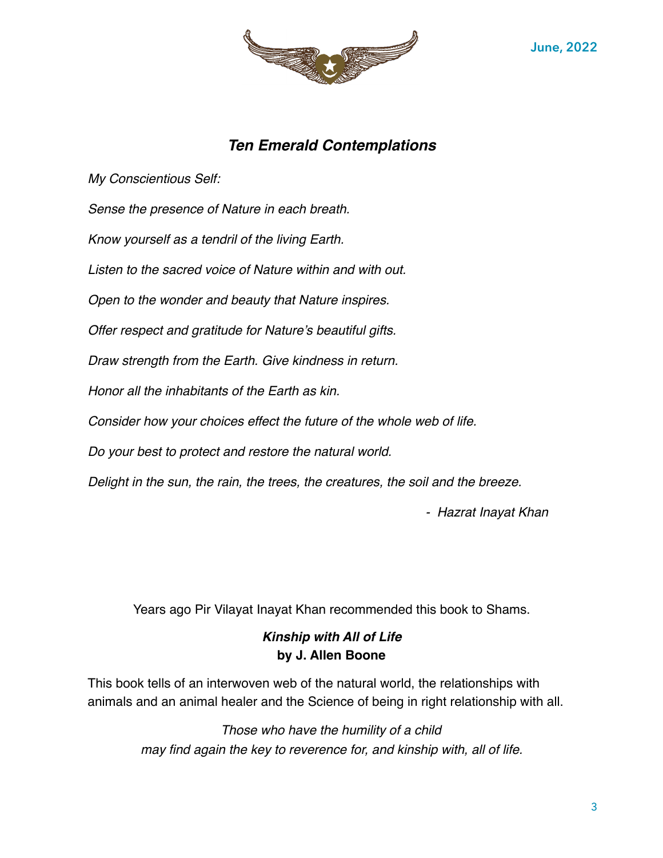

#### *Ten Emerald Contemplations*

*My Conscientious Self:*

*Sense the presence of Nature in each breath.* 

*Know yourself as a tendril of the living Earth.* 

*Listen to the sacred voice of Nature within and with out.*

*Open to the wonder and beauty that Nature inspires.* 

*Offer respect and gratitude for Nature's beautiful gifts.* 

*Draw strength from the Earth. Give kindness in return.*

*Honor all the inhabitants of the Earth as kin.*

*Consider how your choices effect the future of the whole web of life.* 

*Do your best to protect and restore the natural world.* 

*Delight in the sun, the rain, the trees, the creatures, the soil and the breeze.*

 *- Hazrat Inayat Khan*

Years ago Pir Vilayat Inayat Khan recommended this book to Shams.

#### *Kinship with All of Life*  **by J. Allen Boone**

This book tells of an interwoven web of the natural world, the relationships with animals and an animal healer and the Science of being in right relationship with all.

> *Those who have the humility of a child may find again the key to reverence for, and kinship with, all of life.*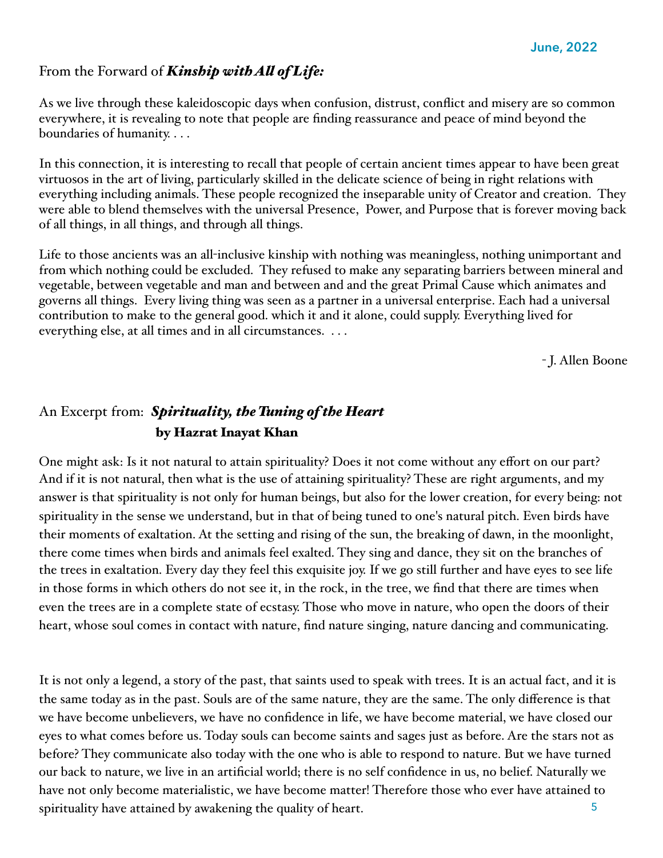#### From the Forward of *Kinship with Al of Life:*

As we live through these kaleidoscopic days when confusion, distrust, conflict and misery are so common everywhere, it is revealing to note that people are finding reassurance and peace of mind beyond the boundaries of humanity. . . .

In this connection, it is interesting to recall that people of certain ancient times appear to have been great virtuosos in the art of living, particularly skilled in the delicate science of being in right relations with everything including animals. These people recognized the inseparable unity of Creator and creation. They were able to blend themselves with the universal Presence, Power, and Purpose that is forever moving back of all things, in all things, and through all things.

Life to those ancients was an all-inclusive kinship with nothing was meaningless, nothing unimportant and from which nothing could be excluded. They refused to make any separating barriers between mineral and vegetable, between vegetable and man and between and and the great Primal Cause which animates and governs all things. Every living thing was seen as a partner in a universal enterprise. Each had a universal contribution to make to the general good. which it and it alone, could supply. Everything lived for everything else, at all times and in all circumstances. . . .

- J. Allen Boone

#### An Excerpt from: *Spirituality, the Tuning of the Heart*  by Hazrat Inayat Khan

One might ask: Is it not natural to attain spirituality? Does it not come without any effort on our part? And if it is not natural, then what is the use of attaining spirituality? These are right arguments, and my answer is that spirituality is not only for human beings, but also for the lower creation, for every being: not spirituality in the sense we understand, but in that of being tuned to one's natural pitch. Even birds have their moments of exaltation. At the setting and rising of the sun, the breaking of dawn, in the moonlight, there come times when birds and animals feel exalted. They sing and dance, they sit on the branches of the trees in exaltation. Every day they feel this exquisite joy. If we go still further and have eyes to see life in those forms in which others do not see it, in the rock, in the tree, we find that there are times when even the trees are in a complete state of ecstasy. Those who move in nature, who open the doors of their heart, whose soul comes in contact with nature, find nature singing, nature dancing and communicating.

 5 It is not only a legend, a story of the past, that saints used to speak with trees. It is an actual fact, and it is the same today as in the past. Souls are of the same nature, they are the same. The only difference is that we have become unbelievers, we have no confidence in life, we have become material, we have closed our eyes to what comes before us. Today souls can become saints and sages just as before. Are the stars not as before? They communicate also today with the one who is able to respond to nature. But we have turned our back to nature, we live in an artificial world; there is no self confidence in us, no belief. Naturally we have not only become materialistic, we have become matter! Therefore those who ever have attained to spirituality have attained by awakening the quality of heart.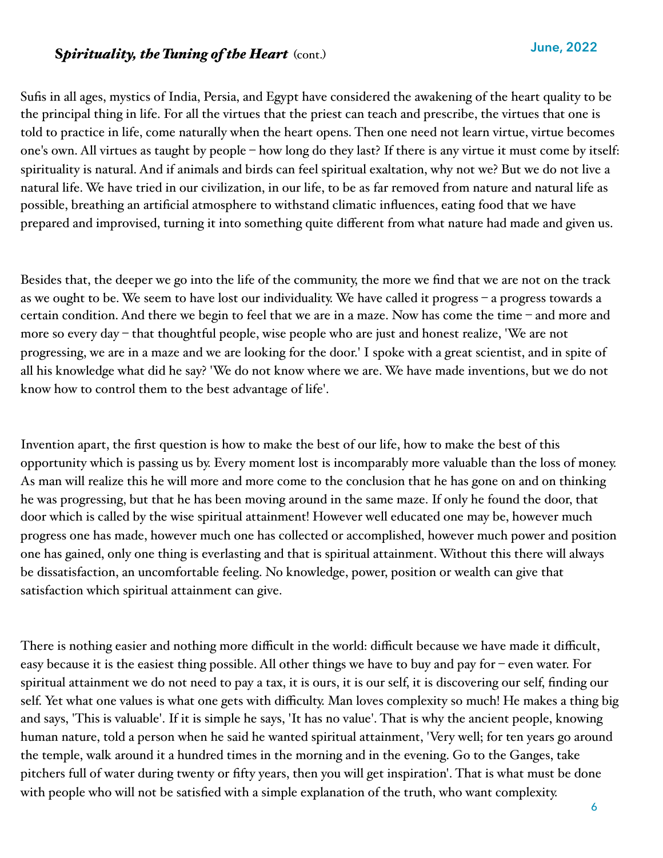#### **Spirituality, the Tuning of the Heart** (cont.)

Sufis in all ages, mystics of India, Persia, and Egypt have considered the awakening of the heart quality to be the principal thing in life. For all the virtues that the priest can teach and prescribe, the virtues that one is told to practice in life, come naturally when the heart opens. Then one need not learn virtue, virtue becomes one's own. All virtues as taught by people – how long do they last? If there is any virtue it must come by itself: spirituality is natural. And if animals and birds can feel spiritual exaltation, why not we? But we do not live a natural life. We have tried in our civilization, in our life, to be as far removed from nature and natural life as possible, breathing an artificial atmosphere to withstand climatic influences, eating food that we have prepared and improvised, turning it into something quite different from what nature had made and given us.

Besides that, the deeper we go into the life of the community, the more we find that we are not on the track as we ought to be. We seem to have lost our individuality. We have called it progress – a progress towards a certain condition. And there we begin to feel that we are in a maze. Now has come the time – and more and more so every day – that thoughtful people, wise people who are just and honest realize, 'We are not progressing, we are in a maze and we are looking for the door.' I spoke with a great scientist, and in spite of all his knowledge what did he say? 'We do not know where we are. We have made inventions, but we do not know how to control them to the best advantage of life'.

Invention apart, the first question is how to make the best of our life, how to make the best of this opportunity which is passing us by. Every moment lost is incomparably more valuable than the loss of money. As man will realize this he will more and more come to the conclusion that he has gone on and on thinking he was progressing, but that he has been moving around in the same maze. If only he found the door, that door which is called by the wise spiritual attainment! However well educated one may be, however much progress one has made, however much one has collected or accomplished, however much power and position one has gained, only one thing is everlasting and that is spiritual attainment. Without this there will always be dissatisfaction, an uncomfortable feeling. No knowledge, power, position or wealth can give that satisfaction which spiritual attainment can give.

There is nothing easier and nothing more difficult in the world: difficult because we have made it difficult, easy because it is the easiest thing possible. All other things we have to buy and pay for – even water. For spiritual attainment we do not need to pay a tax, it is ours, it is our self, it is discovering our self, finding our self. Yet what one values is what one gets with difficulty. Man loves complexity so much! He makes a thing big and says, 'This is valuable'. If it is simple he says, 'It has no value'. That is why the ancient people, knowing human nature, told a person when he said he wanted spiritual attainment, 'Very well; for ten years go around the temple, walk around it a hundred times in the morning and in the evening. Go to the Ganges, take pitchers full of water during twenty or fifty years, then you will get inspiration'. That is what must be done with people who will not be satisfied with a simple explanation of the truth, who want complexity.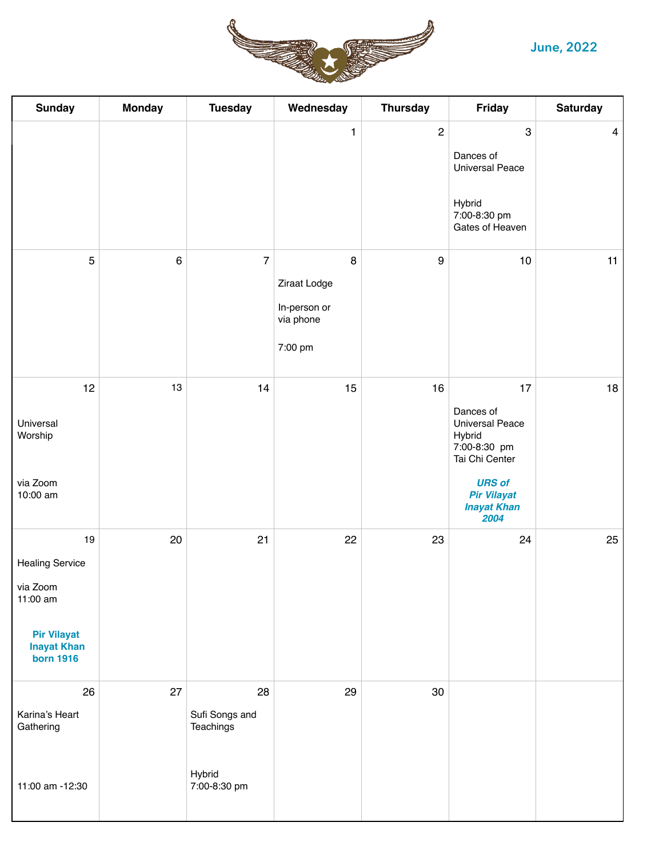#### **June, 2022**



| <b>Sunday</b>                                                                                                        | <b>Monday</b> | <b>Tuesday</b>                                              | Wednesday                                                 | <b>Thursday</b>  | Friday                                                                                                                                                     | <b>Saturday</b> |
|----------------------------------------------------------------------------------------------------------------------|---------------|-------------------------------------------------------------|-----------------------------------------------------------|------------------|------------------------------------------------------------------------------------------------------------------------------------------------------------|-----------------|
|                                                                                                                      |               |                                                             | $\mathbf{1}$                                              | $\boldsymbol{2}$ | $\,3$<br>Dances of<br><b>Universal Peace</b><br>Hybrid<br>7:00-8:30 pm<br>Gates of Heaven                                                                  | $\overline{4}$  |
| $\overline{5}$                                                                                                       | $\,6\,$       | $\overline{7}$                                              | 8<br>Ziraat Lodge<br>In-person or<br>via phone<br>7:00 pm | $\boldsymbol{9}$ | $10$                                                                                                                                                       | 11              |
| 12<br>Universal<br>Worship<br>via Zoom<br>10:00 am                                                                   | 13            | 14                                                          | 15                                                        | 16               | 17<br>Dances of<br><b>Universal Peace</b><br>Hybrid<br>7:00-8:30 pm<br>Tai Chi Center<br><b>URS of</b><br><b>Pir Vilayat</b><br><b>Inayat Khan</b><br>2004 | 18              |
| 19<br><b>Healing Service</b><br>via Zoom<br>11:00 am<br><b>Pir Vilayat</b><br><b>Inayat Khan</b><br><b>born 1916</b> | 20            | 21                                                          | 22                                                        | 23               | 24                                                                                                                                                         | 25              |
| 26<br>Karina's Heart<br>Gathering<br>11:00 am -12:30                                                                 | 27            | 28<br>Sufi Songs and<br>Teachings<br>Hybrid<br>7:00-8:30 pm | 29                                                        | 30               |                                                                                                                                                            |                 |